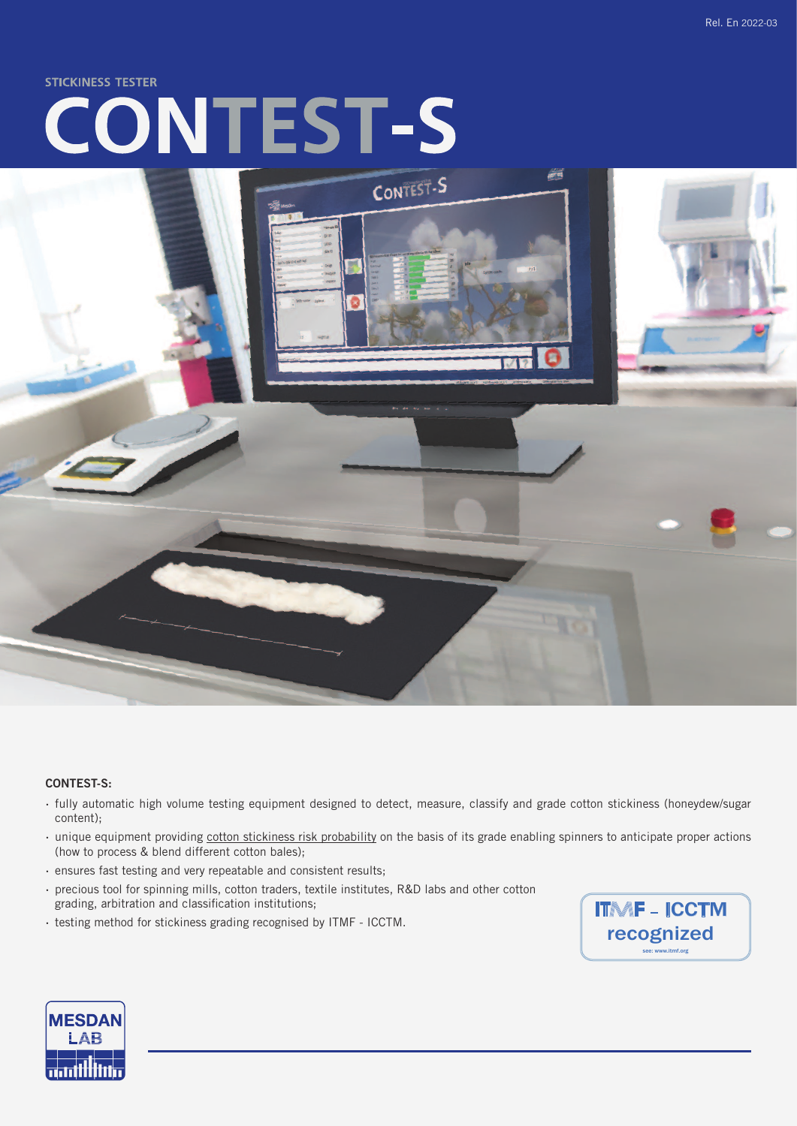## **STICKINESS TESTER CONTEST-S**



#### CONTEST-S:

- · fully automatic high volume testing equipment designed to detect, measure, classify and grade cotton stickiness (honeydew/sugar content);
- · unique equipment providing cotton stickiness risk probability on the basis of its grade enabling spinners to anticipate proper actions (how to process & blend different cotton bales);
- · ensures fast testing and very repeatable and consistent results;
- · precious tool for spinning mills, cotton traders, textile institutes, R&D labs and other cotton grading, arbitration and classification institutions;
- · testing method for stickiness grading recognised by ITMF ICCTM.



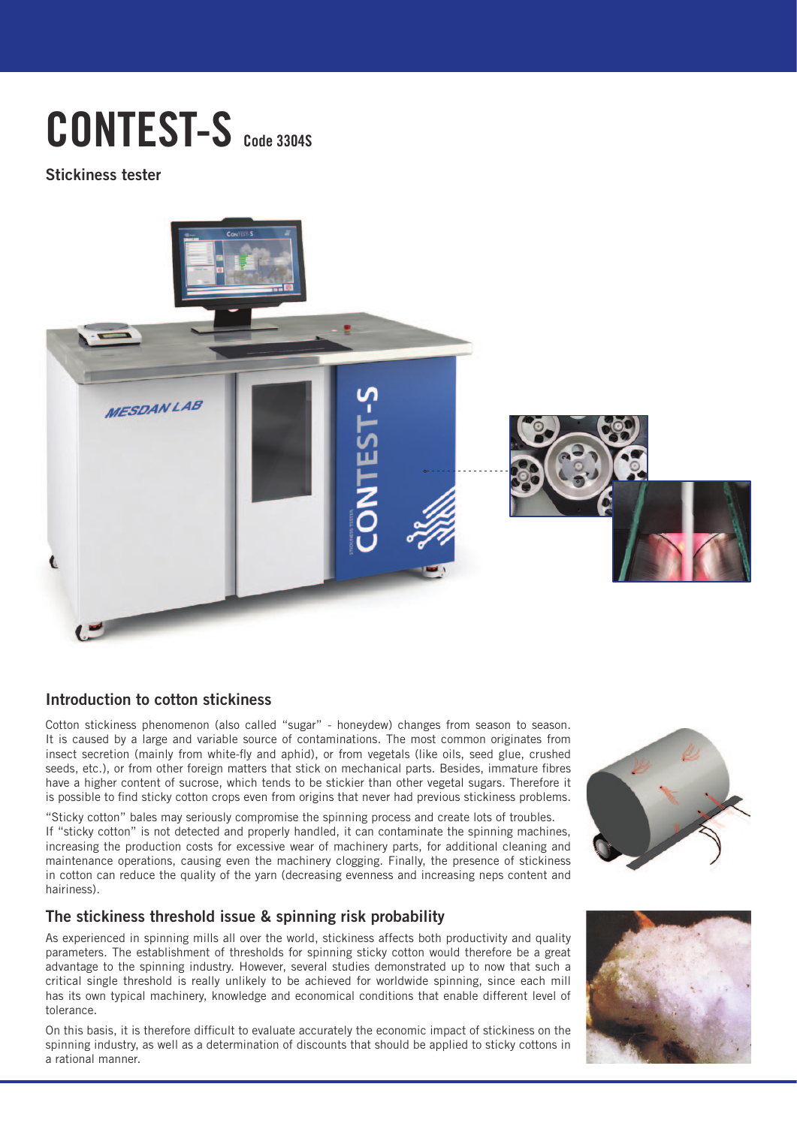

#### Stickiness tester



### Introduction to cotton stickiness

Cotton stickiness phenomenon (also called "sugar" - honeydew) changes from season to season. It is caused by a large and variable source of contaminations. The most common originates from insect secretion (mainly from white-fly and aphid), or from vegetals (like oils, seed glue, crushed seeds, etc.), or from other foreign matters that stick on mechanical parts. Besides, immature fibres have a higher content of sucrose, which tends to be stickier than other vegetal sugars. Therefore it is possible to find sticky cotton crops even from origins that never had previous stickiness problems.

"Sticky cotton" bales may seriously compromise the spinning process and create lots of troubles. If "sticky cotton" is not detected and properly handled, it can contaminate the spinning machines, increasing the production costs for excessive wear of machinery parts, for additional cleaning and maintenance operations, causing even the machinery clogging. Finally, the presence of stickiness in cotton can reduce the quality of the yarn (decreasing evenness and increasing neps content and hairiness).

#### The stickiness threshold issue & spinning risk probability

As experienced in spinning mills all over the world, stickiness affects both productivity and quality parameters. The establishment of thresholds for spinning sticky cotton would therefore be a great advantage to the spinning industry. However, several studies demonstrated up to now that such a critical single threshold is really unlikely to be achieved for worldwide spinning, since each mill has its own typical machinery, knowledge and economical conditions that enable different level of tolerance.

On this basis, it is therefore difficult to evaluate accurately the economic impact of stickiness on the spinning industry, as well as a determination of discounts that should be applied to sticky cottons in a rational manner.



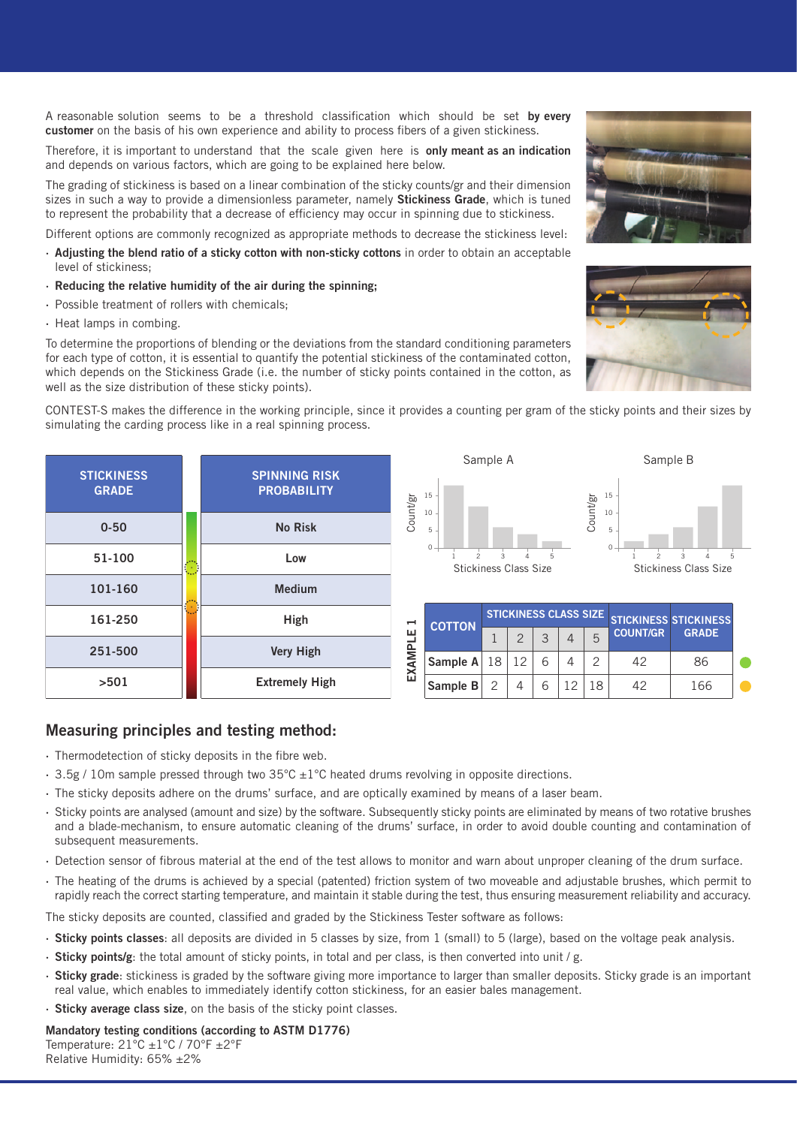A reasonable solution seems to be a threshold classification which should be set by every customer on the basis of his own experience and ability to process fibers of a given stickiness.

Therefore, it is important to understand that the scale given here is only meant as an indication and depends on various factors, which are going to be explained here below.

The grading of stickiness is based on a linear combination of the sticky counts/gr and their dimension sizes in such a way to provide a dimensionless parameter, namely **Stickiness Grade**, which is tuned to represent the probability that a decrease of efficiency may occur in spinning due to stickiness.

Different options are commonly recognized as appropriate methods to decrease the stickiness level:

- · Adjusting the blend ratio of a sticky cotton with non-sticky cottons in order to obtain an acceptable level of stickiness;
- · Reducing the relative humidity of the air during the spinning;
- · Possible treatment of rollers with chemicals;
- · Heat lamps in combing.

To determine the proportions of blending or the deviations from the standard conditioning parameters for each type of cotton, it is essential to quantify the potential stickiness of the contaminated cotton, which depends on the Stickiness Grade (i.e. the number of sticky points contained in the cotton, as well as the size distribution of these sticky points).

CONTEST-S makes the difference in the working principle, since it provides a counting per gram of the sticky points and their sizes by simulating the carding process like in a real spinning process.

| <b>STICKINESS</b><br><b>GRADE</b> | <b>SPINNING RISK</b><br><b>PROBABILITY</b> |
|-----------------------------------|--------------------------------------------|
| $0 - 50$                          | <b>No Risk</b>                             |
| 51-100                            | Low                                        |
| 101-160                           | <b>Medium</b>                              |
| 161-250                           | <b>High</b>                                |
| 251-500                           | <b>Very High</b>                           |
| >501                              | <b>Extremely High</b>                      |

| $\overline{\phantom{0}}$<br>EXAMPLE | <b>COTTON</b><br>Sample A                                                  | 18 | <b>STICKINESS CLASS SIZE</b><br>$\mathcal{P}$<br>12 | 3<br>6 | 4<br>4 | 5<br>2   | <b>COUNT/GR</b><br>42   | <b>STICKINESS STICKINESS</b><br><b>GRADE</b><br>86 |  |
|-------------------------------------|----------------------------------------------------------------------------|----|-----------------------------------------------------|--------|--------|----------|-------------------------|----------------------------------------------------|--|
| Count/gr                            | 15<br>10<br>5<br>$\circ$<br>$\mathfrak{p}$<br><b>Stickiness Class Size</b> | 3  | Δ                                                   | 5      |        | Count/gr | 15<br>10<br>5<br>0<br>2 | 3<br>5<br><b>Stickiness Class Size</b>             |  |

Sample A Sample B

#### Measuring principles and testing method:

- · Thermodetection of sticky deposits in the fibre web.
- $\cdot$  3.5g / 10m sample pressed through two 35°C  $\pm$ 1°C heated drums revolving in opposite directions.
- · The sticky deposits adhere on the drums' surface, and are optically examined by means of a laser beam.
- · Sticky points are analysed (amount and size) by the software. Subsequently sticky points are eliminated by means of two rotative brushes and a blade-mechanism, to ensure automatic cleaning of the drums' surface, in order to avoid double counting and contamination of subsequent measurements.

Sample **B** 2

4

6 12

- · Detection sensor of fibrous material at the end of the test allows to monitor and warn about unproper cleaning of the drum surface.
- · The heating of the drums is achieved by a special (patented) friction system of two moveable and adjustable brushes, which permit to rapidly reach the correct starting temperature, and maintain it stable during the test, thus ensuring measurement reliability and accuracy.

The sticky deposits are counted, classified and graded by the Stickiness Tester software as follows:

- · Sticky points classes: all deposits are divided in 5 classes by size, from 1 (small) to 5 (large), based on the voltage peak analysis.
- · Sticky points/g: the total amount of sticky points, in total and per class, is then converted into unit / g.
- Sticky grade: stickiness is graded by the software giving more importance to larger than smaller deposits. Sticky grade is an important real value, which enables to immediately identify cotton stickiness, for an easier bales management.
- · Sticky average class size, on the basis of the sticky point classes.

Mandatory testing conditions (according to ASTM D1776) Temperature: 21°C ±1°C / 70°F ±2°F Relative Humidity: 65% ±2%





18 42 166